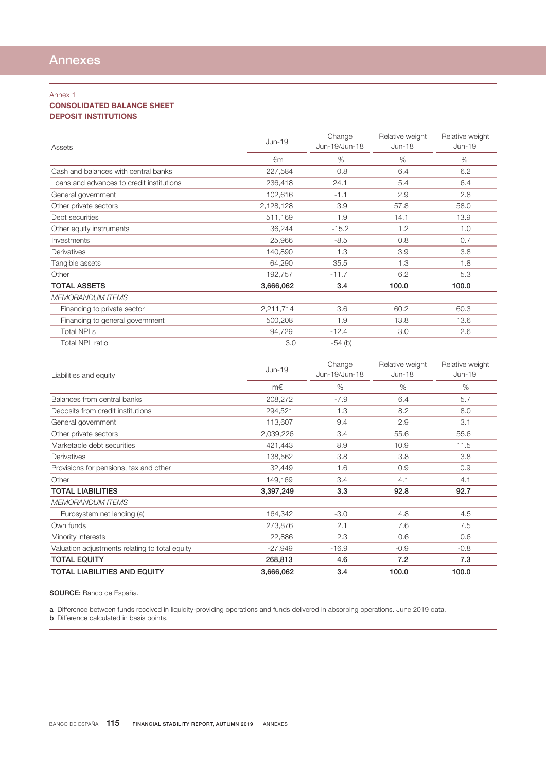## Annex 1

## CONSOLIDATED BALANCE SHEET DEPOSIT INSTITUTIONS

| Assets                                    | Jun-19    | Change<br>Jun-19/Jun-18 | Relative weight<br>$Jun-18$ | Relative weight<br>$Jun-19$ |
|-------------------------------------------|-----------|-------------------------|-----------------------------|-----------------------------|
|                                           | €m        | %                       | %                           | $\%$                        |
| Cash and balances with central banks      | 227,584   | 0.8                     | 6.4                         | 6.2                         |
| Loans and advances to credit institutions | 236,418   | 24.1                    | 5.4                         | 6.4                         |
| General government                        | 102,616   | $-1.1$                  | 2.9                         | 2.8                         |
| Other private sectors                     | 2,128,128 | 3.9                     | 57.8                        | 58.0                        |
| Debt securities                           | 511,169   | 1.9                     | 14.1                        | 13.9                        |
| Other equity instruments                  | 36,244    | $-15.2$                 | 1.2                         | 1.0                         |
| Investments                               | 25,966    | $-8.5$                  | 0.8                         | 0.7                         |
| Derivatives                               | 140,890   | 1.3                     | 3.9                         | 3.8                         |
| Tangible assets                           | 64,290    | 35.5                    | 1.3                         | 1.8                         |
| Other                                     | 192,757   | $-11.7$                 | 6.2                         | 5.3                         |
| <b>TOTAL ASSETS</b>                       | 3,666,062 | 3.4                     | 100.0                       | 100.0                       |
| <b>MEMORANDUM ITEMS</b>                   |           |                         |                             |                             |
| Financing to private sector               | 2,211,714 | 3.6                     | 60.2                        | 60.3                        |
| Financing to general government           | 500,208   | 1.9                     | 13.8                        | 13.6                        |
| <b>Total NPLs</b>                         | 94,729    | $-12.4$                 | 3.0                         | 2.6                         |
| <b>Total NPL ratio</b>                    | 3.0       | $-54$ (b)               |                             |                             |

| Liabilities and equity                         | Jun-19    | Change<br>Jun-19/Jun-18 | Relative weight<br>$Jun-18$ | Relative weight<br>Jun-19 |
|------------------------------------------------|-----------|-------------------------|-----------------------------|---------------------------|
|                                                | m€        | $\%$                    | $\%$                        | %                         |
| Balances from central banks                    | 208,272   | $-7.9$                  | 6.4                         | 5.7                       |
| Deposits from credit institutions              | 294,521   | 1.3                     | 8.2                         | 8.0                       |
| General government                             | 113,607   | 9.4                     | 2.9                         | 3.1                       |
| Other private sectors                          | 2,039,226 | 3.4                     | 55.6                        | 55.6                      |
| Marketable debt securities                     | 421,443   | 8.9                     | 10.9                        | 11.5                      |
| Derivatives                                    | 138,562   | 3.8                     | 3.8                         | 3.8                       |
| Provisions for pensions, tax and other         | 32,449    | 1.6                     | 0.9                         | 0.9                       |
| Other                                          | 149,169   | 3.4                     | 4.1                         | 4.1                       |
| <b>TOTAL LIABILITIES</b>                       | 3,397,249 | 3.3                     | 92.8                        | 92.7                      |
| <b>MEMORANDUM ITEMS</b>                        |           |                         |                             |                           |
| Eurosystem net lending (a)                     | 164,342   | $-3.0$                  | 4.8                         | 4.5                       |
| Own funds                                      | 273,876   | 2.1                     | 7.6                         | 7.5                       |
| Minority interests                             | 22,886    | 2.3                     | 0.6                         | 0.6                       |
| Valuation adjustments relating to total equity | $-27,949$ | $-16.9$                 | $-0.9$                      | $-0.8$                    |
| <b>TOTAL EQUITY</b>                            | 268,813   | 4.6                     | 7.2                         | 7.3                       |
| <b>TOTAL LIABILITIES AND EQUITY</b>            | 3,666,062 | 3.4                     | 100.0                       | 100.0                     |

SOURCE: Banco de España.

a Difference between funds received in liquidity-providing operations and funds delivered in absorbing operations. June 2019 data.

**b** Difference calculated in basis points.